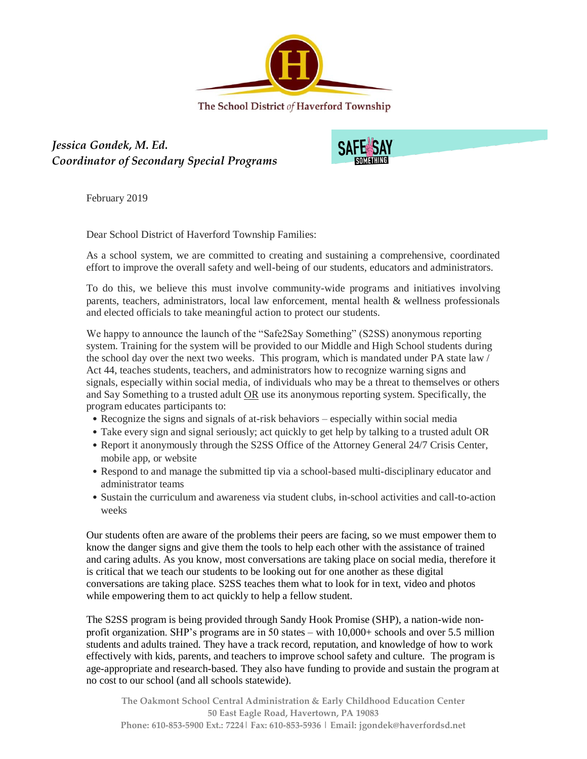

*Jessica Gondek, M. Ed. Coordinator of Secondary Special Programs*



February 2019

Dear School District of Haverford Township Families:

As a school system, we are committed to creating and sustaining a comprehensive, coordinated effort to improve the overall safety and well-being of our students, educators and administrators.

To do this, we believe this must involve community-wide programs and initiatives involving parents, teachers, administrators, local law enforcement, mental health & wellness professionals and elected officials to take meaningful action to protect our students.

We happy to announce the launch of the "Safe2Say Something" (S2SS) anonymous reporting system. Training for the system will be provided to our Middle and High School students during the school day over the next two weeks. This program, which is mandated under PA state law / Act 44, teaches students, teachers, and administrators how to recognize warning signs and signals, especially within social media, of individuals who may be a threat to themselves or others and Say Something to a trusted adult OR use its anonymous reporting system. Specifically, the program educates participants to:

- Recognize the signs and signals of at-risk behaviors especially within social media
- Take every sign and signal seriously; act quickly to get help by talking to a trusted adult OR
- Report it anonymously through the S2SS Office of the Attorney General 24/7 Crisis Center, mobile app, or website
- Respond to and manage the submitted tip via a school-based multi-disciplinary educator and administrator teams
- Sustain the curriculum and awareness via student clubs, in-school activities and call-to-action weeks

Our students often are aware of the problems their peers are facing, so we must empower them to know the danger signs and give them the tools to help each other with the assistance of trained and caring adults. As you know, most conversations are taking place on social media, therefore it is critical that we teach our students to be looking out for one another as these digital conversations are taking place. S2SS teaches them what to look for in text, video and photos while empowering them to act quickly to help a fellow student.

The S2SS program is being provided through Sandy Hook Promise (SHP), a nation-wide nonprofit organization. SHP's programs are in 50 states – with 10,000+ schools and over 5.5 million students and adults trained. They have a track record, reputation, and knowledge of how to work effectively with kids, parents, and teachers to improve school safety and culture. The program is age-appropriate and research-based. They also have funding to provide and sustain the program at no cost to our school (and all schools statewide).